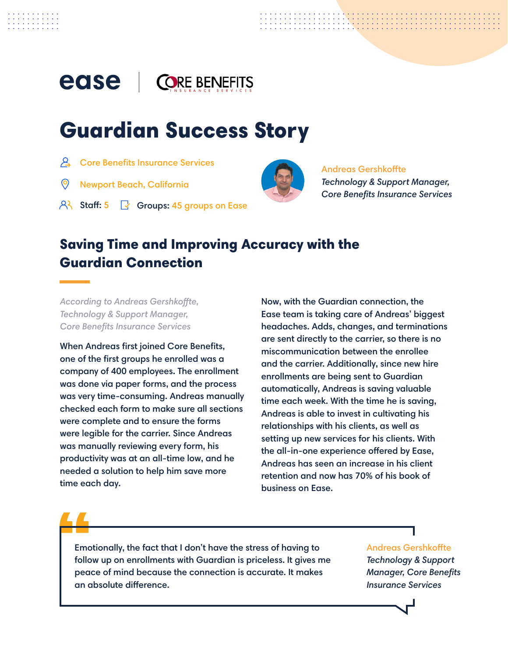#### ease **ORE BENEFITS**

# Guardian Success Story

- $\mathcal{L}$  Core Benefits Insurance Services
- Newport Beach, California
- Staff:  $5 \quad \swarrow$  Groups: 45 groups on Ease



## Andreas Gershkoffte

*Technology & Support Manager, Core Benefits Insurance Services*

## Saving Time and Improving Accuracy with the Guardian Connection

*According to Andreas Gershkoffte, Technology & Support Manager, Core Benefits Insurance Services*

When Andreas first joined Core Benefits, one of the first groups he enrolled was a company of 400 employees. The enrollment was done via paper forms, and the process was very time-consuming. Andreas manually checked each form to make sure all sections were complete and to ensure the forms were legible for the carrier. Since Andreas was manually reviewing every form, his productivity was at an all-time low, and he needed a solution to help him save more time each day.

Now, with the Guardian connection, the Ease team is taking care of Andreas' biggest headaches. Adds, changes, and terminations are sent directly to the carrier, so there is no miscommunication between the enrollee and the carrier. Additionally, since new hire enrollments are being sent to Guardian automatically, Andreas is saving valuable time each week. With the time he is saving, Andreas is able to invest in cultivating his relationships with his clients, as well as setting up new services for his clients. With the all-in-one experience offered by Ease, Andreas has seen an increase in his client retention and now has 70% of his book of business on Ease.

Emotionally, the fact that I don't have the stress of having to follow up on enrollments with Guardian is priceless. It gives me peace of mind because the connection is accurate. It makes an absolute difference.

Andreas Gershkoffte

*Technology & Support Manager, Core Benefits Insurance Services*